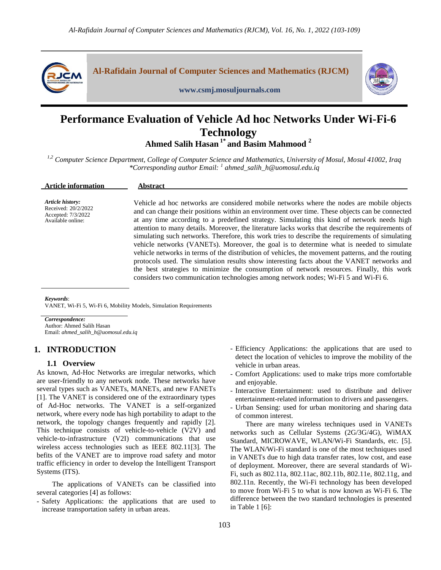



# **Performance Evaluation of Vehicle Ad hoc Networks Under Wi-Fi-6 Technology Ahmed Salih Hasan 1\* and Basim Mahmood <sup>2</sup>**

*1,2 Computer Science Department, College of Computer Science and Mathematics, University of Mosul, Mosul 41002, Iraq \*Corresponding author Email: <sup>1</sup> ahmed\_salih\_h@uomosul.edu.iq*

| <b>Article information</b>                                                         | Abstract                                                                                                                                                                                                                                                                                                                                                                                                                                                                                                                                                                                                                                                                                                                                                                                                                                                                                                                                                                           |
|------------------------------------------------------------------------------------|------------------------------------------------------------------------------------------------------------------------------------------------------------------------------------------------------------------------------------------------------------------------------------------------------------------------------------------------------------------------------------------------------------------------------------------------------------------------------------------------------------------------------------------------------------------------------------------------------------------------------------------------------------------------------------------------------------------------------------------------------------------------------------------------------------------------------------------------------------------------------------------------------------------------------------------------------------------------------------|
| Article history:<br>Received: 20/2/2022<br>Accepted: 7/3/2022<br>Available online: | Vehicle ad hoc networks are considered mobile networks where the nodes are mobile objects<br>and can change their positions within an environment over time. These objects can be connected<br>at any time according to a predefined strategy. Simulating this kind of network needs high<br>attention to many details. Moreover, the literature lacks works that describe the requirements of<br>simulating such networks. Therefore, this work tries to describe the requirements of simulating<br>vehicle networks (VANETs). Moreover, the goal is to determine what is needed to simulate<br>vehicle networks in terms of the distribution of vehicles, the movement patterns, and the routing<br>protocols used. The simulation results show interesting facts about the VANET networks and<br>the best strategies to minimize the consumption of network resources. Finally, this work<br>considers two communication technologies among network nodes; Wi-Fi 5 and Wi-Fi 6. |

*Keywords*:

VANET, Wi-Fi 5, Wi-Fi 6, Mobility Models, Simulation Requirements

*Correspondence:* Author: Ahmed Salih Hasan Email: *ahmed\_salih\_h@uomosul.edu.iq*

# **1. INTRODUCTION**

# **1.1 Overview**

As known, Ad-Hoc Networks are irregular networks, which are user-friendly to any network node. These networks have several types such as VANETs, MANETs, and new FANETs [1]. The VANET is considered one of the extraordinary types of Ad-Hoc networks. The VANET is a self-organized network, where every node has high portability to adapt to the network, the topology changes frequently and rapidly [2]. This technique consists of vehicle-to-vehicle (V2V) and vehicle-to-infrastructure (V2I) communications that use wireless access technologies such as IEEE 802.11[3]. The befits of the VANET are to improve road safety and motor traffic efficiency in order to develop the Intelligent Transport Systems (ITS).

The applications of VANETs can be classified into several categories [4] as follows:

- Safety Applications: the applications that are used to increase transportation safety in urban areas.

- Efficiency Applications: the applications that are used to detect the location of vehicles to improve the mobility of the vehicle in urban areas.
- Comfort Applications: used to make trips more comfortable and enjoyable.
- Interactive Entertainment: used to distribute and deliver entertainment-related information to drivers and passengers.
- Urban Sensing: used for urban monitoring and sharing data of common interest.

There are many wireless techniques used in VANETs networks such as Cellular Systems (2G/3G/4G), WiMAX Standard, MICROWAVE, WLAN/Wi-Fi Standards, etc. [5]. The WLAN/Wi-Fi standard is one of the most techniques used in VANETs due to high data transfer rates, low cost, and ease of deployment. Moreover, there are several standards of Wi-Fi, such as 802.11a, 802.11ac, 802.11b, 802.11e, 802.11g, and 802.11n. Recently, the Wi-Fi technology has been developed to move from Wi-Fi 5 to what is now known as Wi-Fi 6. The difference between the two standard technologies is presented in Table 1 [6]: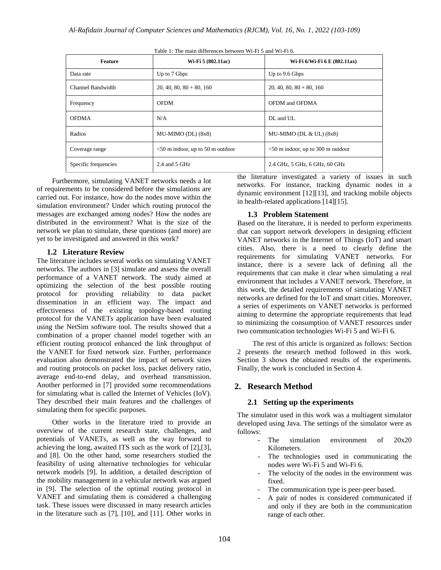| Feature              | Wi-Fi 5 (802.11ac)                  | Wi-Fi 6/Wi-Fi 6 E (802.11ax)         |
|----------------------|-------------------------------------|--------------------------------------|
| Data rate            | Up to 7 Gbps                        | Up to 9.6 Gbps                       |
| Channel Bandwidth    | $20, 40, 80, 80 + 80, 160$          | $20, 40, 80, 80 + 80, 160$           |
| Frequency            | <b>OFDM</b>                         | OFDM and OFDMA                       |
| <b>OFDMA</b>         | N/A                                 | DL and UL                            |
| Radios               | MU-MIMO (DL) $(8x8)$                | MU-MIMO (DL $&$ UL) $(8x8)$          |
| Coverage range       | $<$ 50 m indoor, up to 50 m outdoor | $<$ 50 m indoor, up to 300 m outdoor |
| Specific frequencies | 2.4 and $5$ GHz                     | 2.4 GHz, 5 GHz, 6 GHz, 60 GHz        |

Table 1: The main differences between Wi-Fi 5 and Wi-Fi 6.

Furthermore, simulating VANET networks needs a lot of requirements to be considered before the simulations are carried out. For instance, how do the nodes move within the simulation environment? Under which routing protocol the messages are exchanged among nodes? How the nodes are distributed in the environment? What is the size of the network we plan to simulate, these questions (and more) are yet to be investigated and answered in this work?

#### **1.2 Literature Review**

The literature includes several works on simulating VANET networks. The authors in [3] simulate and assess the overall performance of a VANET network. The study aimed at optimizing the selection of the best possible routing protocol for providing reliability to data packet dissemination in an efficient way. The impact and effectiveness of the existing topology-based routing protocol for the VANETs application have been evaluated using the NetSim software tool. The results showed that a combination of a proper channel model together with an efficient routing protocol enhanced the link throughput of the VANET for fixed network size. Further, performance evaluation also demonstrated the impact of network sizes and routing protocols on packet loss, packet delivery ratio, average end-to-end delay, and overhead transmission. Another performed in [7] provided some recommendations for simulating what is called the Internet of Vehicles (IoV). They described their main features and the challenges of simulating them for specific purposes.

Other works in the literature tried to provide an overview of the current research state, challenges, and potentials of VANETs, as well as the way forward to achieving the long, awaited ITS such as the work of [2],[3], and [8]. On the other hand, some researchers studied the feasibility of using alternative technologies for vehicular network models [9]. In addition, a detailed description of the mobility management in a vehicular network was argued in [9]. The selection of the optimal routing protocol in VANET and simulating them is considered a challenging task. These issues were discussed in many research articles in the literature such as [7], [10], and [11]. Other works in

the literature investigated a variety of issues in such networks. For instance, tracking dynamic nodes in a dynamic environment [12][13], and tracking mobile objects in health-related applications [14][15].

#### **1.3 Problem Statement**

Based on the literature, it is needed to perform experiments that can support network developers in designing efficient VANET networks in the Internet of Things (IoT) and smart cities. Also, there is a need to clearly define the requirements for simulating VANET networks. For instance, there is a severe lack of defining all the requirements that can make it clear when simulating a real environment that includes a VANET network. Therefore, in this work, the detailed requirements of simulating VANET networks are defined for the IoT and smart cities. Moreover, a series of experiments on VANET networks is performed aiming to determine the appropriate requirements that lead to minimizing the consumption of VANET resources under two communication technologies Wi-Fi 5 and Wi-Fi 6.

The rest of this article is organized as follows: Section 2 presents the research method followed in this work. Section 3 shows the obtained results of the experiments. Finally, the work is concluded in Section 4.

## **2. Research Method**

### **2.1 Setting up the experiments**

The simulator used in this work was a multiagent simulator developed using Java. The settings of the simulator were as follows:

- The simulation environment of  $20x20$ Kilometers.
- The technologies used in communicating the nodes were Wi-Fi 5 and Wi-Fi 6.
- The velocity of the nodes in the environment was fixed.
- The communication type is peer-peer based.
- A pair of nodes is considered communicated if and only if they are both in the communication range of each other.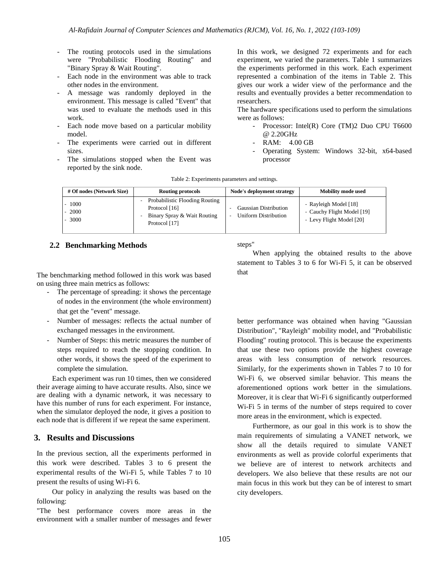- The routing protocols used in the simulations were "Probabilistic Flooding Routing" and "Binary Spray & Wait Routing".
- Each node in the environment was able to track other nodes in the environment.
- A message was randomly deployed in the environment. This message is called "Event" that was used to evaluate the methods used in this work.
- Each node move based on a particular mobility model.
- The experiments were carried out in different sizes.
- The simulations stopped when the Event was reported by the sink node.

In this work, we designed 72 experiments and for each experiment, we varied the parameters. Table 1 summarizes the experiments performed in this work. Each experiment represented a combination of the items in Table 2. This gives our work a wider view of the performance and the results and eventually provides a better recommendation to researchers.

The hardware specifications used to perform the simulations were as follows:

- Processor: Intel(R) Core (TM)2 Duo CPU T6600 @ 2.20GHz
- RAM: 4.00 GB
- Operating System: Windows 32-bit, x64-based processor

| # Of nodes (Network Size) | Routing protocols                                                                               | Node's deployment strategy                                                       | <b>Mobility mode used</b>                                                       |
|---------------------------|-------------------------------------------------------------------------------------------------|----------------------------------------------------------------------------------|---------------------------------------------------------------------------------|
| 1000<br>2000<br>3000      | Probabilistic Flooding Routing<br>Protocol [16]<br>Binary Spray & Wait Routing<br>Protocol [17] | Gaussian Distribution<br><b>Uniform Distribution</b><br>$\overline{\phantom{a}}$ | - Rayleigh Model [18]<br>- Cauchy Flight Model [19]<br>- Levy Flight Model [20] |

Table 2: Experiments parameters and settings.

## **2.2 Benchmarking Methods**

The benchmarking method followed in this work was based on using three main metrics as follows:

- The percentage of spreading: it shows the percentage of nodes in the environment (the whole environment) that get the "event" message.
- Number of messages: reflects the actual number of exchanged messages in the environment.
- Number of Steps: this metric measures the number of steps required to reach the stopping condition. In other words, it shows the speed of the experiment to complete the simulation.

Each experiment was run 10 times, then we considered their average aiming to have accurate results. Also, since we are dealing with a dynamic network, it was necessary to have this number of runs for each experiment. For instance, when the simulator deployed the node, it gives a position to each node that is different if we repeat the same experiment.

## **3. Results and Discussions**

In the previous section, all the experiments performed in this work were described. Tables 3 to 6 present the experimental results of the Wi-Fi 5, while Tables 7 to 10 present the results of using Wi-Fi 6.

Our policy in analyzing the results was based on the following:

"The best performance covers more areas in the environment with a smaller number of messages and fewer steps"

When applying the obtained results to the above statement to Tables 3 to 6 for Wi-Fi 5, it can be observed that

better performance was obtained when having "Gaussian Distribution", "Rayleigh" mobility model, and "Probabilistic Flooding" routing protocol. This is because the experiments that use these two options provide the highest coverage areas with less consumption of network resources. Similarly, for the experiments shown in Tables 7 to 10 for Wi-Fi 6, we observed similar behavior. This means the aforementioned options work better in the simulations. Moreover, it is clear that Wi-Fi 6 significantly outperformed Wi-Fi 5 in terms of the number of steps required to cover more areas in the environment, which is expected.

Furthermore, as our goal in this work is to show the main requirements of simulating a VANET network, we show all the details required to simulate VANET environments as well as provide colorful experiments that we believe are of interest to network architects and developers. We also believe that these results are not our main focus in this work but they can be of interest to smart city developers.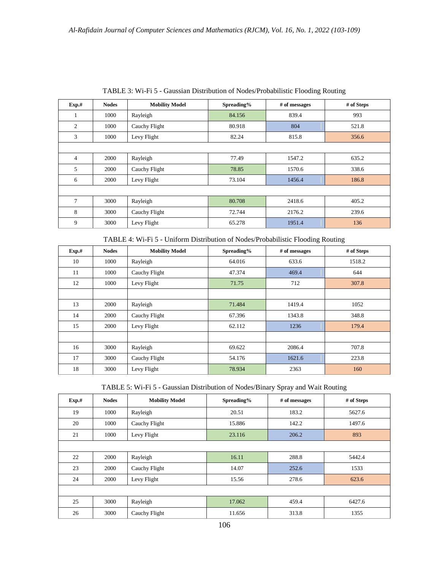| Exp.#          | <b>Nodes</b> | <b>Mobility Model</b> | Spreading% | # of messages | # of Steps |
|----------------|--------------|-----------------------|------------|---------------|------------|
| 1              | 1000         | Rayleigh              | 84.156     | 839.4         | 993        |
| 2              | 1000         | Cauchy Flight         | 80.918     | 804           | 521.8      |
| 3              | 1000         | Levy Flight           | 82.24      | 815.8         | 356.6      |
|                |              |                       |            |               |            |
| $\overline{4}$ | 2000         | Rayleigh              | 77.49      | 1547.2        | 635.2      |
| 5              | 2000         | Cauchy Flight         | 78.85      | 1570.6        | 338.6      |
| 6              | 2000         | Levy Flight           | 73.104     | 1456.4        | 186.8      |
|                |              |                       |            |               |            |
| $\tau$         | 3000         | Rayleigh              | 80.708     | 2418.6        | 405.2      |
| 8              | 3000         | Cauchy Flight         | 72.744     | 2176.2        | 239.6      |
| 9              | 3000         | Levy Flight           | 65.278     | 1951.4        | 136        |

TABLE 3: Wi-Fi 5 - Gaussian Distribution of Nodes/Probabilistic Flooding Routing

TABLE 4: Wi-Fi 5 - Uniform Distribution of Nodes/Probabilistic Flooding Routing

| Exp.# | <b>Nodes</b> | <b>Mobility Model</b> | Spreading% | # of messages | # of Steps |
|-------|--------------|-----------------------|------------|---------------|------------|
| 10    | 1000         | Rayleigh              | 64.016     | 633.6         | 1518.2     |
| 11    | 1000         | Cauchy Flight         | 47.374     | 469.4         | 644        |
| 12    | 1000         | Levy Flight           | 71.75      | 712           | 307.8      |
|       |              |                       |            |               |            |
| 13    | 2000         | Rayleigh              | 71.484     | 1419.4        | 1052       |
| 14    | 2000         | Cauchy Flight         | 67.396     | 1343.8        | 348.8      |
| 15    | 2000         | Levy Flight           | 62.112     | 1236          | 179.4      |
|       |              |                       |            |               |            |
| 16    | 3000         | Rayleigh              | 69.622     | 2086.4        | 707.8      |
| 17    | 3000         | Cauchy Flight         | 54.176     | 1621.6        | 223.8      |
| 18    | 3000         | Levy Flight           | 78.934     | 2363          | 160        |

| TABLE 5: Wi-Fi 5 - Gaussian Distribution of Nodes/Binary Spray and Wait Routing |  |  |  |  |
|---------------------------------------------------------------------------------|--|--|--|--|
|---------------------------------------------------------------------------------|--|--|--|--|

| Exp.# | <b>Nodes</b> | <b>Mobility Model</b> | Spreading% | # of messages | # of Steps |
|-------|--------------|-----------------------|------------|---------------|------------|
| 19    | 1000         | Rayleigh              | 20.51      | 183.2         | 5627.6     |
| 20    | 1000         | Cauchy Flight         | 15.886     | 142.2         | 1497.6     |
| 21    | 1000         | Levy Flight           | 23.116     | 206.2         | 893        |
|       |              |                       |            |               |            |
| 22    | 2000         | Rayleigh              | 16.11      | 288.8         | 5442.4     |
| 23    | 2000         | Cauchy Flight         | 14.07      | 252.6         | 1533       |
| 24    | 2000         | Levy Flight           | 15.56      | 278.6         | 623.6      |
|       |              |                       |            |               |            |
| 25    | 3000         | Rayleigh              | 17.062     | 459.4         | 6427.6     |
| 26    | 3000         | Cauchy Flight         | 11.656     | 313.8         | 1355       |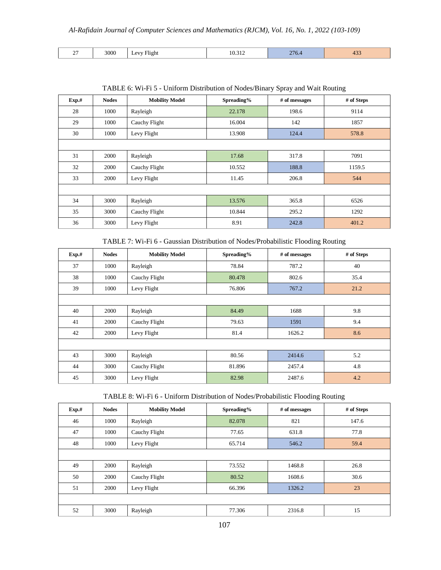| 3000<br>$\sim$<br>$\cdots$<br>$\Delta V/T$<br>Flight<br>∼<br>$\overline{\phantom{0}}$ | $\sim$ $\sim$<br>$\sim$<br>10.312<br>$  -$ | 270.7 | r. J. J |
|---------------------------------------------------------------------------------------|--------------------------------------------|-------|---------|
|---------------------------------------------------------------------------------------|--------------------------------------------|-------|---------|

| Exp.# | <b>Nodes</b> | <b>Mobility Model</b> | Spreading% | # of messages | # of Steps |
|-------|--------------|-----------------------|------------|---------------|------------|
| 28    | 1000         | Rayleigh              | 22.178     | 198.6         | 9114       |
| 29    | 1000         | Cauchy Flight         | 16.004     | 142           | 1857       |
| 30    | 1000         | Levy Flight           | 13.908     | 124.4         | 578.8      |
|       |              |                       |            |               |            |
| 31    | 2000         | Rayleigh              | 17.68      | 317.8         | 7091       |
| 32    | 2000         | Cauchy Flight         | 10.552     | 188.8         | 1159.5     |
| 33    | 2000         | Levy Flight           | 11.45      | 206.8         | 544        |
|       |              |                       |            |               |            |
| 34    | 3000         | Rayleigh              | 13.576     | 365.8         | 6526       |
| 35    | 3000         | Cauchy Flight         | 10.844     | 295.2         | 1292       |
| 36    | 3000         | Levy Flight           | 8.91       | 242.8         | 401.2      |

TABLE 6: Wi-Fi 5 - Uniform Distribution of Nodes/Binary Spray and Wait Routing

TABLE 7: Wi-Fi 6 - Gaussian Distribution of Nodes/Probabilistic Flooding Routing

| Exp.# | <b>Nodes</b> | <b>Mobility Model</b> | Spreading% | # of messages | # of Steps |
|-------|--------------|-----------------------|------------|---------------|------------|
| 37    | 1000         | Rayleigh              | 78.84      | 787.2         | 40         |
| 38    | 1000         | Cauchy Flight         | 80.478     | 802.6         | 35.4       |
| 39    | 1000         | Levy Flight           | 76.806     | 767.2         | 21.2       |
|       |              |                       |            |               |            |
| 40    | 2000         | Rayleigh              | 84.49      | 1688          | 9.8        |
| 41    | 2000         | Cauchy Flight         | 79.63      | 1591          | 9.4        |
| 42    | 2000         | Levy Flight           | 81.4       | 1626.2        | 8.6        |
|       |              |                       |            |               |            |
| 43    | 3000         | Rayleigh              | 80.56      | 2414.6        | 5.2        |
| 44    | 3000         | Cauchy Flight         | 81.896     | 2457.4        | 4.8        |
| 45    | 3000         | Levy Flight           | 82.98      | 2487.6        | 4.2        |

TABLE 8: Wi-Fi 6 - Uniform Distribution of Nodes/Probabilistic Flooding Routing

| Exp.# | <b>Nodes</b> | <b>Mobility Model</b> | Spreading% | # of messages | # of Steps |
|-------|--------------|-----------------------|------------|---------------|------------|
| 46    | 1000         | Rayleigh              | 82.078     | 821           | 147.6      |
| 47    | 1000         | Cauchy Flight         | 77.65      | 631.8         | 77.8       |
| 48    | 1000         | Levy Flight           | 65.714     | 546.2         | 59.4       |
|       |              |                       |            |               |            |
| 49    | 2000         | Rayleigh              | 73.552     | 1468.8        | 26.8       |
| 50    | 2000         | Cauchy Flight         | 80.52      | 1608.6        | 30.6       |
| 51    | 2000         | Levy Flight           | 66.396     | 1326.2        | 23         |
|       |              |                       |            |               |            |
| 52    | 3000         | Rayleigh              | 77.306     | 2316.8        | 15         |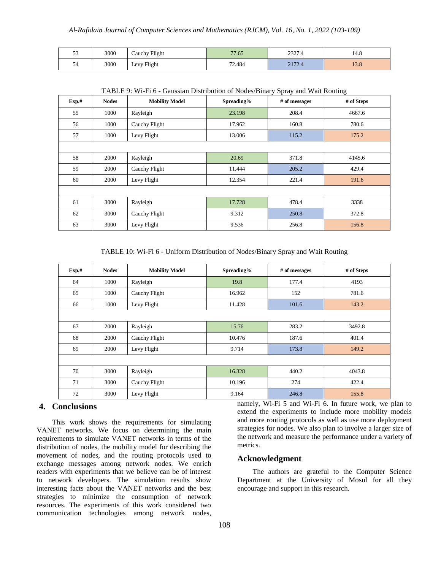| $\sim$<br>-5 | 3000 | Cauchy Flight | $\overline{a}$<br>7.65 | <b>ברר</b><br>2321.4 | 14.0           |
|--------------|------|---------------|------------------------|----------------------|----------------|
| - 1<br>ہر    | 3000 | Levy Flight   | 72.484                 | 2172<br>2112.7       | $\sim$<br>19.0 |

| Exp.# | <b>Nodes</b> | <b>Mobility Model</b> | Spreading% | # of messages | # of Steps |
|-------|--------------|-----------------------|------------|---------------|------------|
| 55    | 1000         | Rayleigh              | 23.198     | 208.4         | 4667.6     |
| 56    | 1000         | Cauchy Flight         | 17.962     | 160.8         | 780.6      |
| 57    | 1000         | Levy Flight           | 13.006     | 115.2         | 175.2      |
|       |              |                       |            |               |            |
| 58    | 2000         | Rayleigh              | 20.69      | 371.8         | 4145.6     |
| 59    | 2000         | Cauchy Flight         | 11.444     | 205.2         | 429.4      |
| 60    | 2000         | Levy Flight           | 12.354     | 221.4         | 191.6      |
|       |              |                       |            |               |            |
| 61    | 3000         | Rayleigh              | 17.728     | 478.4         | 3338       |
| 62    | 3000         | Cauchy Flight         | 9.312      | 250.8         | 372.8      |
| 63    | 3000         | Levy Flight           | 9.536      | 256.8         | 156.8      |

TABLE 9: Wi-Fi 6 - Gaussian Distribution of Nodes/Binary Spray and Wait Routing

TABLE 10: Wi-Fi 6 - Uniform Distribution of Nodes/Binary Spray and Wait Routing

| Exp.# | <b>Nodes</b> | <b>Mobility Model</b> | Spreading% | # of messages | # of Steps |
|-------|--------------|-----------------------|------------|---------------|------------|
| 64    | 1000         | Rayleigh              | 19.8       | 177.4         | 4193       |
| 65    | 1000         | Cauchy Flight         | 16.962     | 152           | 781.6      |
| 66    | 1000         | Levy Flight           | 11.428     | 101.6         | 143.2      |
|       |              |                       |            |               |            |
| 67    | 2000         | Rayleigh              | 15.76      | 283.2         | 3492.8     |
| 68    | 2000         | Cauchy Flight         | 10.476     | 187.6         | 401.4      |
| 69    | 2000         | Levy Flight           | 9.714      | 173.8         | 149.2      |
|       |              |                       |            |               |            |
| 70    | 3000         | Rayleigh              | 16.328     | 440.2         | 4043.8     |
| 71    | 3000         | Cauchy Flight         | 10.196     | 274           | 422.4      |
| 72    | 3000         | Levy Flight           | 9.164      | 246.8         | 155.8      |

## **4. Conclusions**

This work shows the requirements for simulating VANET networks. We focus on determining the main requirements to simulate VANET networks in terms of the distribution of nodes, the mobility model for describing the movement of nodes, and the routing protocols used to exchange messages among network nodes. We enrich readers with experiments that we believe can be of interest to network developers. The simulation results show interesting facts about the VANET networks and the best strategies to minimize the consumption of network resources. The experiments of this work considered two communication technologies among network nodes,

namely, Wi-Fi 5 and Wi-Fi 6. In future work, we plan to extend the experiments to include more mobility models and more routing protocols as well as use more deployment strategies for nodes. We also plan to involve a larger size of the network and measure the performance under a variety of metrics.

# **Acknowledgment**

The authors are grateful to the Computer Science Department at the University of Mosul for all they encourage and support in this research.